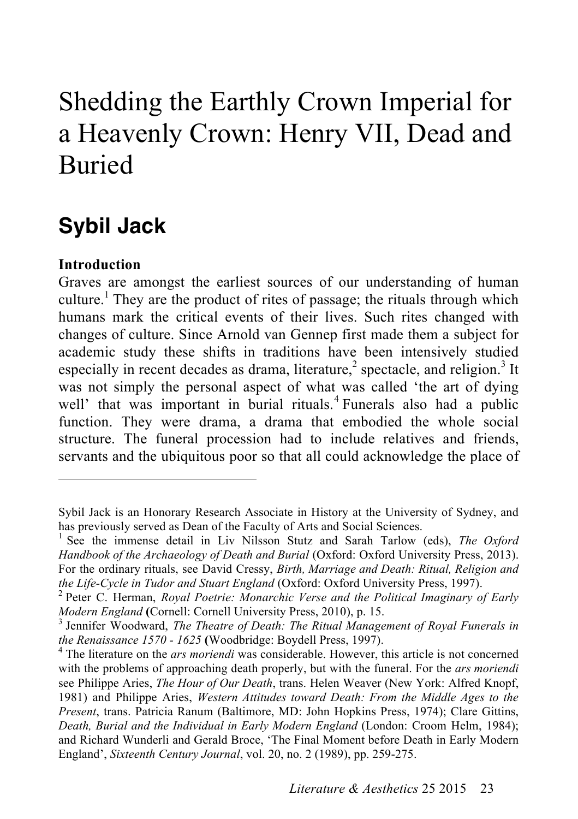# Shedding the Earthly Crown Imperial for a Heavenly Crown: Henry VII, Dead and Buried

# **Sybil Jack**

#### **Introduction**

 $\overline{a}$ 

Graves are amongst the earliest sources of our understanding of human culture. 1 They are the product of rites of passage; the rituals through which humans mark the critical events of their lives. Such rites changed with changes of culture. Since Arnold van Gennep first made them a subject for academic study these shifts in traditions have been intensively studied especially in recent decades as drama, literature,<sup>2</sup> spectacle, and religion.<sup>3</sup> It was not simply the personal aspect of what was called 'the art of dying well' that was important in burial rituals.<sup>4</sup> Funerals also had a public function. They were drama, a drama that embodied the whole social structure. The funeral procession had to include relatives and friends, servants and the ubiquitous poor so that all could acknowledge the place of

Sybil Jack is an Honorary Research Associate in History at the University of Sydney, and has previously served as Dean of the Faculty of Arts and Social Sciences. <sup>1</sup>

<sup>&</sup>lt;sup>1</sup> See the immense detail in Liv Nilsson Stutz and Sarah Tarlow (eds), *The Oxford Handbook of the Archaeology of Death and Burial* (Oxford: Oxford University Press, 2013). For the ordinary rituals, see David Cressy, *Birth, Marriage and Death: Ritual, Religion and the Life-Cycle in Tudor and Stuart England* (Oxford: Oxford University Press, 1997). <sup>2</sup>

Peter C. Herman, *Royal Poetrie: Monarchic Verse and the Political Imaginary of Early Modern England* (Cornell: Cornell University Press, 2010), p. 15.

<sup>&</sup>lt;sup>3</sup> Jennifer Woodward, *The Theatre of Death: The Ritual Management of Royal Funerals in the Renaissance 1570 - <sup>1625</sup>* **(**Woodbridge: Boydell Press, 1997). <sup>4</sup> The literature on the *ars moriendi* was considerable. However, this article is not concerned

with the problems of approaching death properly, but with the funeral. For the *ars moriendi* see Philippe Aries, *The Hour of Our Death*, trans. Helen Weaver (New York: Alfred Knopf, 1981) and Philippe Aries, *Western Attitudes toward Death: From the Middle Ages to the Present*, trans. Patricia Ranum (Baltimore, MD: John Hopkins Press, 1974); Clare Gittins, *Death, Burial and the Individual in Early Modern England* (London: Croom Helm, 1984); and Richard Wunderli and Gerald Broce, 'The Final Moment before Death in Early Modern England', *Sixteenth Century Journal*, vol. 20, no. 2 (1989), pp. 259-275.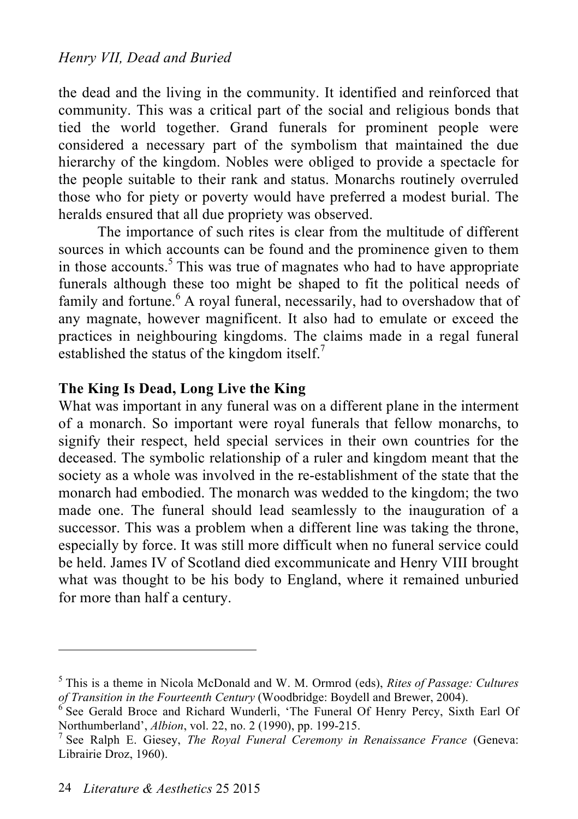the dead and the living in the community. It identified and reinforced that community. This was a critical part of the social and religious bonds that tied the world together. Grand funerals for prominent people were considered a necessary part of the symbolism that maintained the due hierarchy of the kingdom. Nobles were obliged to provide a spectacle for the people suitable to their rank and status. Monarchs routinely overruled those who for piety or poverty would have preferred a modest burial. The heralds ensured that all due propriety was observed.

The importance of such rites is clear from the multitude of different sources in which accounts can be found and the prominence given to them in those accounts. 5 This was true of magnates who had to have appropriate funerals although these too might be shaped to fit the political needs of family and fortune.<sup>6</sup> A royal funeral, necessarily, had to overshadow that of any magnate, however magnificent. It also had to emulate or exceed the practices in neighbouring kingdoms. The claims made in a regal funeral established the status of the kingdom itself.<sup>7</sup>

# **The King Is Dead, Long Live the King**

What was important in any funeral was on a different plane in the interment of a monarch. So important were royal funerals that fellow monarchs, to signify their respect, held special services in their own countries for the deceased. The symbolic relationship of a ruler and kingdom meant that the society as a whole was involved in the re-establishment of the state that the monarch had embodied. The monarch was wedded to the kingdom; the two made one. The funeral should lead seamlessly to the inauguration of a successor. This was a problem when a different line was taking the throne, especially by force. It was still more difficult when no funeral service could be held. James IV of Scotland died excommunicate and Henry VIII brought what was thought to be his body to England, where it remained unburied for more than half a century.

<sup>5</sup> This is a theme in Nicola McDonald and W. M. Ormrod (eds), *Rites of Passage: Cultures of Transition in the Fourteenth Century* (Woodbridge: Boydell and Brewer, 2004).

 $6$  See Gerald Broce and Richard Wunderli, 'The Funeral Of Henry Percy, Sixth Earl Of Northumberland', *Albion*, vol. 22, no. 2 (1990), pp. 199-215. <sup>7</sup>

<sup>&</sup>lt;sup>7</sup> See Ralph E. Giesey, *The Royal Funeral Ceremony in Renaissance France* (Geneva: Librairie Droz, 1960).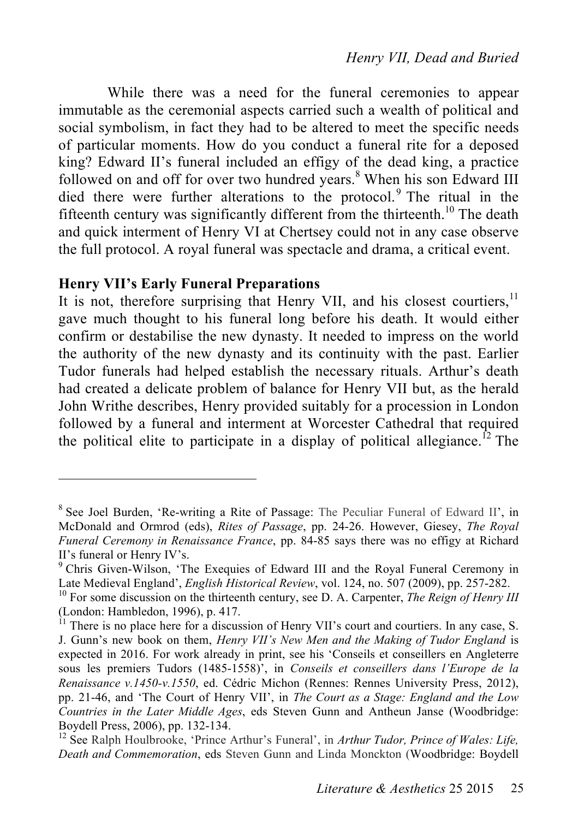While there was a need for the funeral ceremonies to appear immutable as the ceremonial aspects carried such a wealth of political and social symbolism, in fact they had to be altered to meet the specific needs of particular moments. How do you conduct a funeral rite for a deposed king? Edward II's funeral included an effigy of the dead king, a practice followed on and off for over two hundred years.<sup>8</sup> When his son Edward III died there were further alterations to the protocol.<sup>9</sup> The ritual in the fifteenth century was significantly different from the thirteenth.<sup>10</sup> The death and quick interment of Henry VI at Chertsey could not in any case observe the full protocol. A royal funeral was spectacle and drama, a critical event.

# **Henry VII's Early Funeral Preparations**

 $\overline{a}$ 

It is not, therefore surprising that Henry VII, and his closest courtiers,<sup>11</sup> gave much thought to his funeral long before his death. It would either confirm or destabilise the new dynasty. It needed to impress on the world the authority of the new dynasty and its continuity with the past. Earlier Tudor funerals had helped establish the necessary rituals. Arthur's death had created a delicate problem of balance for Henry VII but, as the herald John Writhe describes, Henry provided suitably for a procession in London followed by a funeral and interment at Worcester Cathedral that required the political elite to participate in a display of political allegiance.<sup>12</sup> The

<sup>&</sup>lt;sup>8</sup> See Joel Burden, 'Re-writing a Rite of Passage: The Peculiar Funeral of Edward II', in McDonald and Ormrod (eds), *Rites of Passage*, pp. 24-26. However, Giesey, *The Royal Funeral Ceremony in Renaissance France*, pp. 84-85 says there was no effigy at Richard II's funeral or Henry IV's.

<sup>&</sup>lt;sup>9</sup> Chris Given-Wilson, 'The Exequies of Edward III and the Royal Funeral Ceremony in Late Medieval England', *English Historical Review*, vol. 124, no. 507 (2009), pp. 257-282.

<sup>&</sup>lt;sup>10</sup> For some discussion on the thirteenth century, see D. A. Carpenter, *The Reign of Henry III* (London: Hambledon, 1996), p. 417.<br><sup>11</sup> There is no place here for a discussion of Henry VII's court and courtiers. In any case, S.

J. Gunn's new book on them, *Henry VII's New Men and the Making of Tudor England* is expected in 2016. For work already in print, see his 'Conseils et conseillers en Angleterre sous les premiers Tudors (1485-1558)', in *Conseils et conseillers dans l'Europe de la Renaissance v.1450-v.1550*, ed. Cédric Michon (Rennes: Rennes University Press, 2012), pp. 21-46, and 'The Court of Henry VII', in *The Court as a Stage: England and the Low Countries in the Later Middle Ages*, eds Steven Gunn and Antheun Janse (Woodbridge: Boydell Press, 2006), pp. 132-134.<br><sup>12</sup> See Ralph Houlbrooke, 'Prince Arthur's Funeral', in *Arthur Tudor, Prince of Wales: Life,* 

*Death and Commemoration*, eds Steven Gunn and Linda Monckton (Woodbridge: Boydell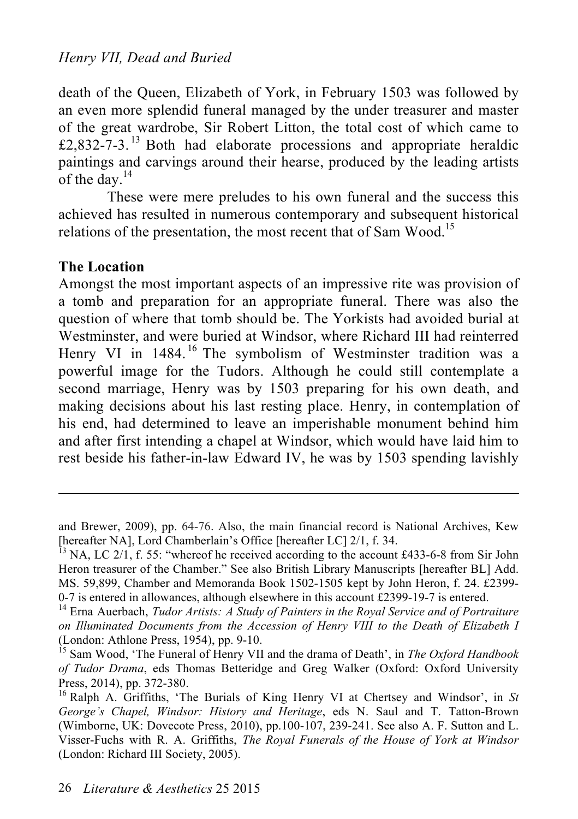death of the Queen, Elizabeth of York, in February 1503 was followed by an even more splendid funeral managed by the under treasurer and master of the great wardrobe, Sir Robert Litton, the total cost of which came to £2,832-7-3.<sup>13</sup> Both had elaborate processions and appropriate heraldic paintings and carvings around their hearse, produced by the leading artists of the day. $^{14}$ 

These were mere preludes to his own funeral and the success this achieved has resulted in numerous contemporary and subsequent historical relations of the presentation, the most recent that of Sam Wood.<sup>15</sup>

#### **The Location**

 $\overline{a}$ 

Amongst the most important aspects of an impressive rite was provision of a tomb and preparation for an appropriate funeral. There was also the question of where that tomb should be. The Yorkists had avoided burial at Westminster, and were buried at Windsor, where Richard III had reinterred Henry VI in 1484.<sup>16</sup> The symbolism of Westminster tradition was a powerful image for the Tudors. Although he could still contemplate a second marriage, Henry was by 1503 preparing for his own death, and making decisions about his last resting place. Henry, in contemplation of his end, had determined to leave an imperishable monument behind him and after first intending a chapel at Windsor, which would have laid him to rest beside his father-in-law Edward IV, he was by 1503 spending lavishly

and Brewer, 2009), pp. 64-76. Also, the main financial record is National Archives, Kew [hereafter NA], Lord Chamberlain's Office [hereafter LC]  $2/1$ , f. 34.  $13$  NA, LC  $2/1$ , f. 55: "whereof he received according to the account £433-6-8 from Sir John

Heron treasurer of the Chamber." See also British Library Manuscripts [hereafter BL] Add. MS. 59,899, Chamber and Memoranda Book 1502-1505 kept by John Heron, f. 24. £2399- 0-7 is entered in allowances, although elsewhere in this account £2399-19-7 is entered. <sup>14</sup> Erna Auerbach, *Tudor Artists: A Study of Painters in the Royal Service and of Portraiture* 

*on Illuminated Documents from the Accession of Henry VIII to the Death of Elizabeth I*

<sup>&</sup>lt;sup>15</sup> Sam Wood, 'The Funeral of Henry VII and the drama of Death', in *The Oxford Handbook of Tudor Drama*, eds Thomas Betteridge and Greg Walker (Oxford: Oxford University Press, 2014), pp. 372-380.<br><sup>16</sup> Ralph A. Griffiths, 'The Burials of King Henry VI at Chertsey and Windsor', in *St* 

*George's Chapel, Windsor: History and Heritage*, eds N. Saul and T. Tatton-Brown (Wimborne, UK: Dovecote Press, 2010), pp.100-107, 239-241. See also A. F. Sutton and L. Visser-Fuchs with R. A. Griffiths, *The Royal Funerals of the House of York at Windsor* (London: Richard III Society, 2005).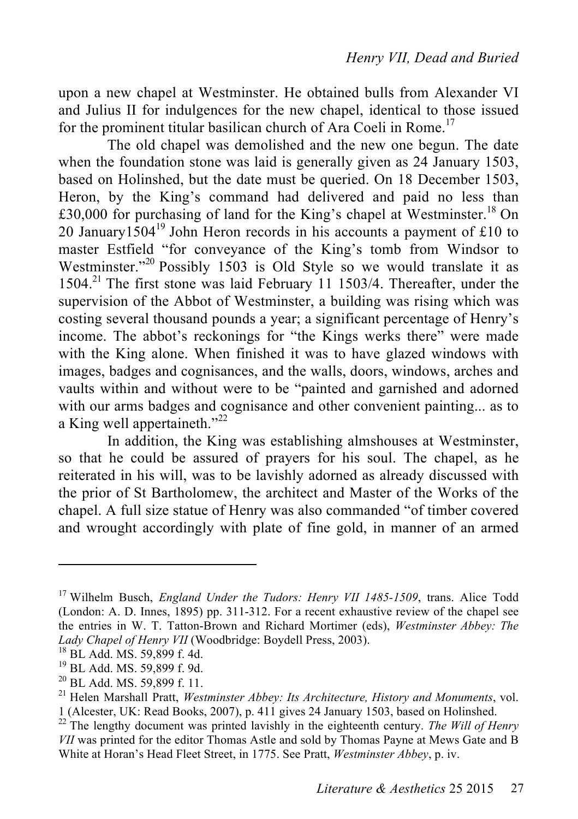upon a new chapel at Westminster. He obtained bulls from Alexander VI and Julius II for indulgences for the new chapel, identical to those issued for the prominent titular basilican church of Ara Coeli in Rome.<sup>17</sup>

The old chapel was demolished and the new one begun. The date when the foundation stone was laid is generally given as 24 January 1503, based on Holinshed, but the date must be queried. On 18 December 1503, Heron, by the King's command had delivered and paid no less than £30,000 for purchasing of land for the King's chapel at Westminster.<sup>18</sup> On 20 January $1504^{19}$  John Heron records in his accounts a payment of £10 to master Estfield "for conveyance of the King's tomb from Windsor to Westminster."<sup>20</sup> Possibly 1503 is Old Style so we would translate it as 1504.<sup>21</sup> The first stone was laid February 11 1503/4. Thereafter, under the supervision of the Abbot of Westminster, a building was rising which was costing several thousand pounds a year; a significant percentage of Henry's income. The abbot's reckonings for "the Kings werks there" were made with the King alone. When finished it was to have glazed windows with images, badges and cognisances, and the walls, doors, windows, arches and vaults within and without were to be "painted and garnished and adorned with our arms badges and cognisance and other convenient painting... as to a King well appertaineth."<sup>22</sup>

In addition, the King was establishing almshouses at Westminster, so that he could be assured of prayers for his soul. The chapel, as he reiterated in his will, was to be lavishly adorned as already discussed with the prior of St Bartholomew, the architect and Master of the Works of the chapel. A full size statue of Henry was also commanded "of timber covered and wrought accordingly with plate of fine gold, in manner of an armed

<sup>17</sup> Wilhelm Busch, *England Under the Tudors: Henry VII 1485-1509*, trans. Alice Todd (London: A. D. Innes, 1895) pp. 311-312. For a recent exhaustive review of the chapel see the entries in W. T. Tatton-Brown and Richard Mortimer (eds), *Westminster Abbey: The*  Lady Chapel of Henry VII (Woodbridge: Boydell Press, 2003).<br><sup>18</sup> BL Add. MS. 59,899 f. 4d.<br><sup>19</sup> BL Add. MS. 59,899 f. 9d.<br><sup>20</sup> BL Add. MS. 59,899 f. 11.<br><sup>21</sup> Helen Marshall Pratt, *Westminster Abbey: Its Architecture, Hist* 

<sup>1 (</sup>Alcester, UK: Read Books, 2007), p. 411 gives 24 January 1503, based on Holinshed. <sup>22</sup> The lengthy document was printed lavishly in the eighteenth century. *The Will of Henry* 

*VII* was printed for the editor Thomas Astle and sold by Thomas Payne at Mews Gate and B White at Horan's Head Fleet Street, in 1775. See Pratt, *Westminster Abbey*, p. iv.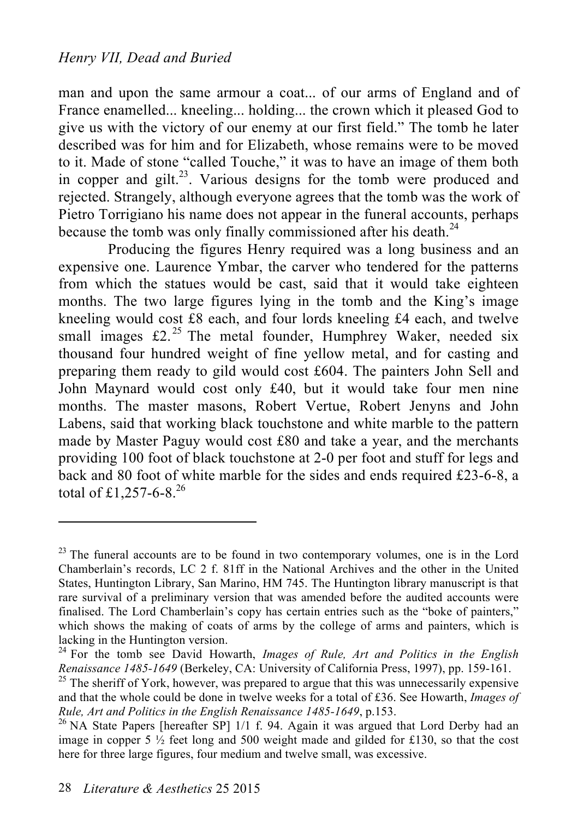man and upon the same armour a coat... of our arms of England and of France enamelled... kneeling... holding... the crown which it pleased God to give us with the victory of our enemy at our first field." The tomb he later described was for him and for Elizabeth, whose remains were to be moved to it. Made of stone "called Touche," it was to have an image of them both in copper and  $g$ ilt.<sup>23</sup>. Various designs for the tomb were produced and rejected. Strangely, although everyone agrees that the tomb was the work of Pietro Torrigiano his name does not appear in the funeral accounts, perhaps because the tomb was only finally commissioned after his death.<sup>24</sup>

Producing the figures Henry required was a long business and an expensive one. Laurence Ymbar, the carver who tendered for the patterns from which the statues would be cast, said that it would take eighteen months. The two large figures lying in the tomb and the King's image kneeling would cost £8 each, and four lords kneeling £4 each, and twelve small images  $\pounds 2$ .<sup>25</sup> The metal founder, Humphrey Waker, needed six thousand four hundred weight of fine yellow metal, and for casting and preparing them ready to gild would cost £604. The painters John Sell and John Maynard would cost only £40, but it would take four men nine months. The master masons, Robert Vertue, Robert Jenyns and John Labens, said that working black touchstone and white marble to the pattern made by Master Paguy would cost £80 and take a year, and the merchants providing 100 foot of black touchstone at 2-0 per foot and stuff for legs and back and 80 foot of white marble for the sides and ends required £23-6-8, a total of £1,257-6-8.<sup>26</sup>

 $23$  The funeral accounts are to be found in two contemporary volumes, one is in the Lord Chamberlain's records, LC 2 f. 81ff in the National Archives and the other in the United States, Huntington Library, San Marino, HM 745. The Huntington library manuscript is that rare survival of a preliminary version that was amended before the audited accounts were finalised. The Lord Chamberlain's copy has certain entries such as the "boke of painters," which shows the making of coats of arms by the college of arms and painters, which is lacking in the Huntington version.

<sup>24</sup> For the tomb see David Howarth, *Images of Rule, Art and Politics in the English Renaissance 1485-1649* (Berkeley, CA: University of California Press, 1997), pp. 159-161.<br><sup>25</sup> The sheriff of York, however, was prepared to argue that this was unnecessarily expensive

and that the whole could be done in twelve weeks for a total of £36. See Howarth, *Images of Rule, Art and Politics in the English Renaissance 1485-1649*, p.153.<br><sup>26</sup> NA State Papers [hereafter SP] 1/1 f. 94. Again it was argued that Lord Derby had an

image in copper 5  $\frac{1}{2}$  feet long and 500 weight made and gilded for £130, so that the cost here for three large figures, four medium and twelve small, was excessive.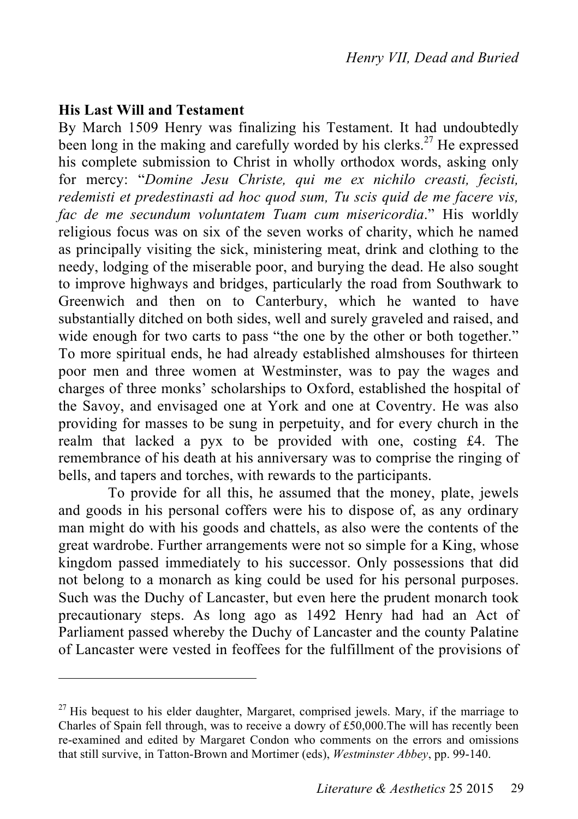#### **His Last Will and Testament**

 $\overline{a}$ 

By March 1509 Henry was finalizing his Testament. It had undoubtedly been long in the making and carefully worded by his clerks. 27 He expressed his complete submission to Christ in wholly orthodox words, asking only for mercy: "*Domine Jesu Christe, qui me ex nichilo creasti, fecisti, redemisti et predestinasti ad hoc quod sum, Tu scis quid de me facere vis, fac de me secundum voluntatem Tuam cum misericordia*." His worldly religious focus was on six of the seven works of charity, which he named as principally visiting the sick, ministering meat, drink and clothing to the needy, lodging of the miserable poor, and burying the dead. He also sought to improve highways and bridges, particularly the road from Southwark to Greenwich and then on to Canterbury, which he wanted to have substantially ditched on both sides, well and surely graveled and raised, and wide enough for two carts to pass "the one by the other or both together." To more spiritual ends, he had already established almshouses for thirteen poor men and three women at Westminster, was to pay the wages and charges of three monks' scholarships to Oxford, established the hospital of the Savoy, and envisaged one at York and one at Coventry. He was also providing for masses to be sung in perpetuity, and for every church in the realm that lacked a pyx to be provided with one, costing £4. The remembrance of his death at his anniversary was to comprise the ringing of bells, and tapers and torches, with rewards to the participants.

To provide for all this, he assumed that the money, plate, jewels and goods in his personal coffers were his to dispose of, as any ordinary man might do with his goods and chattels, as also were the contents of the great wardrobe. Further arrangements were not so simple for a King, whose kingdom passed immediately to his successor. Only possessions that did not belong to a monarch as king could be used for his personal purposes. Such was the Duchy of Lancaster, but even here the prudent monarch took precautionary steps. As long ago as 1492 Henry had had an Act of Parliament passed whereby the Duchy of Lancaster and the county Palatine of Lancaster were vested in feoffees for the fulfillment of the provisions of

 $27$  His bequest to his elder daughter, Margaret, comprised jewels. Mary, if the marriage to Charles of Spain fell through, was to receive a dowry of £50,000.The will has recently been re-examined and edited by Margaret Condon who comments on the errors and omissions that still survive, in Tatton-Brown and Mortimer (eds), *Westminster Abbey*, pp. 99-140.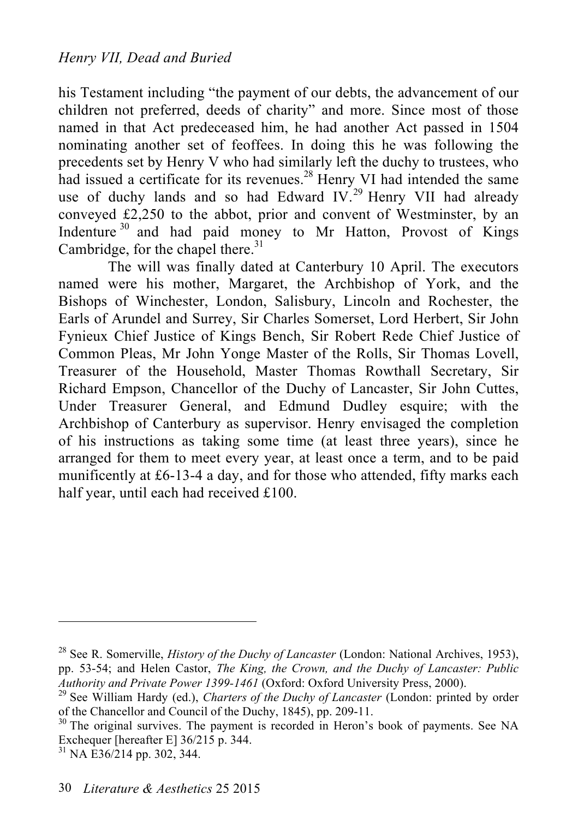his Testament including "the payment of our debts, the advancement of our children not preferred, deeds of charity" and more. Since most of those named in that Act predeceased him, he had another Act passed in 1504 nominating another set of feoffees. In doing this he was following the precedents set by Henry V who had similarly left the duchy to trustees, who had issued a certificate for its revenues.<sup>28</sup> Henry VI had intended the same use of duchy lands and so had Edward IV.<sup>29</sup> Henry VII had already conveyed £2,250 to the abbot, prior and convent of Westminster, by an Indenture 30 and had paid money to Mr Hatton, Provost of Kings Cambridge, for the chapel there.<sup>31</sup>

The will was finally dated at Canterbury 10 April. The executors named were his mother, Margaret, the Archbishop of York, and the Bishops of Winchester, London, Salisbury, Lincoln and Rochester, the Earls of Arundel and Surrey, Sir Charles Somerset, Lord Herbert, Sir John Fynieux Chief Justice of Kings Bench, Sir Robert Rede Chief Justice of Common Pleas, Mr John Yonge Master of the Rolls, Sir Thomas Lovell, Treasurer of the Household, Master Thomas Rowthall Secretary, Sir Richard Empson, Chancellor of the Duchy of Lancaster, Sir John Cuttes, Under Treasurer General, and Edmund Dudley esquire; with the Archbishop of Canterbury as supervisor. Henry envisaged the completion of his instructions as taking some time (at least three years), since he arranged for them to meet every year, at least once a term, and to be paid munificently at £6-13-4 a day, and for those who attended, fifty marks each half year, until each had received £100.

<sup>28</sup> See R. Somerville, *History of the Duchy of Lancaster* (London: National Archives, 1953), pp. 53-54; and Helen Castor, *The King, the Crown, and the Duchy of Lancaster: Public Authority and Private Power 1399-1461* (Oxford: Oxford University Press, 2000). <sup>29</sup> See William Hardy (ed.), *Charters of the Duchy of Lancaster* (London: printed by order

of the Chancellor and Council of the Duchy, 1845), pp. 209-11.<br><sup>30</sup> The original survives. The payment is recorded in Heron's book of payments. See NA

Exchequer [hereafter E] 36/215 p. 344. <sup>31</sup> NA E36/214 pp. 302, 344.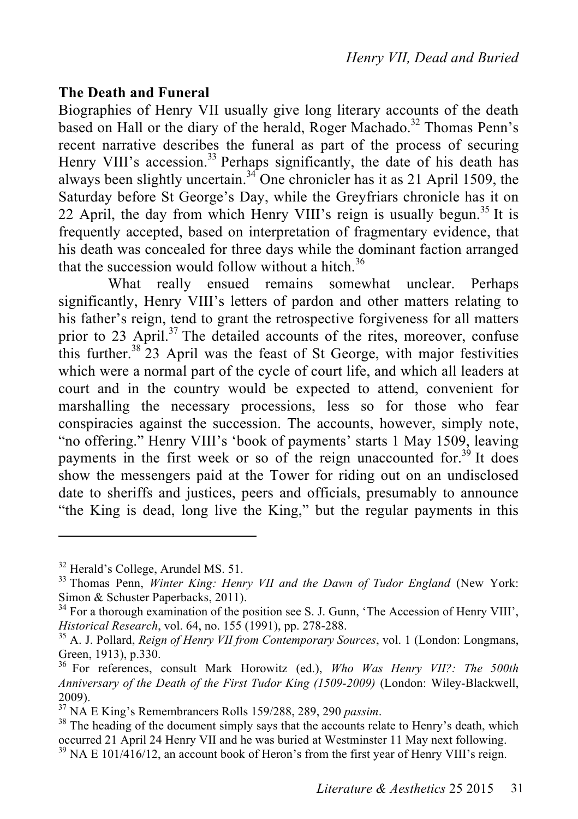#### **The Death and Funeral**

Biographies of Henry VII usually give long literary accounts of the death based on Hall or the diary of the herald, Roger Machado. 32 Thomas Penn's recent narrative describes the funeral as part of the process of securing Henry VIII's accession.<sup>33</sup> Perhaps significantly, the date of his death has always been slightly uncertain.<sup>34</sup> One chronicler has it as 21 April 1509, the Saturday before St George's Day, while the Greyfriars chronicle has it on 22 April, the day from which Henry VIII's reign is usually begun.<sup>35</sup> It is frequently accepted, based on interpretation of fragmentary evidence, that his death was concealed for three days while the dominant faction arranged that the succession would follow without a hitch.<sup>36</sup>

What really ensued remains somewhat unclear. Perhaps significantly, Henry VIII's letters of pardon and other matters relating to his father's reign, tend to grant the retrospective forgiveness for all matters prior to 23 April.<sup>37</sup> The detailed accounts of the rites, moreover, confuse this further.<sup>38</sup> 23 April was the feast of St George, with major festivities which were a normal part of the cycle of court life, and which all leaders at court and in the country would be expected to attend, convenient for marshalling the necessary processions, less so for those who fear conspiracies against the succession. The accounts, however, simply note, "no offering." Henry VIII's 'book of payments' starts 1 May 1509, leaving payments in the first week or so of the reign unaccounted for.<sup>39</sup> It does show the messengers paid at the Tower for riding out on an undisclosed date to sheriffs and justices, peers and officials, presumably to announce "the King is dead, long live the King," but the regular payments in this

<sup>&</sup>lt;sup>32</sup> Herald's College, Arundel MS. 51.<br><sup>33</sup> Thomas Penn, *Winter King: Henry VII and the Dawn of Tudor England* (New York: Simon & Schuster Paperbacks, 2011).<br><sup>34</sup> For a thorough examination of the position see S. J. Gunn, 'The Accession of Henry VIII',

*Historical Research*, vol. 64, no. 155 (1991), pp. 278-288.<br><sup>35</sup> A. J. Pollard, *Reign of Henry VII from Contemporary Sources*, vol. 1 (London: Longmans,

Green, 1913), p.330.<br><sup>36</sup> For references, consult Mark Horowitz (ed.), *Who Was Henry VII?: The 500th* 

*Anniversary of the Death of the First Tudor King (1509-2009)* (London: Wiley-Blackwell, 2009).<br><sup>37</sup> NA E King's Remembrancers Rolls 159/288, 289, 290 *passim*.<br><sup>38</sup> The heading of the document simply says that the accounts relate to Henry's death, which

occurred 21 April 24 Henry VII and he was buried at Westminster 11 May next following.<br><sup>39</sup> NA E 101/416/12, an account book of Heron's from the first year of Henry VIII's reign.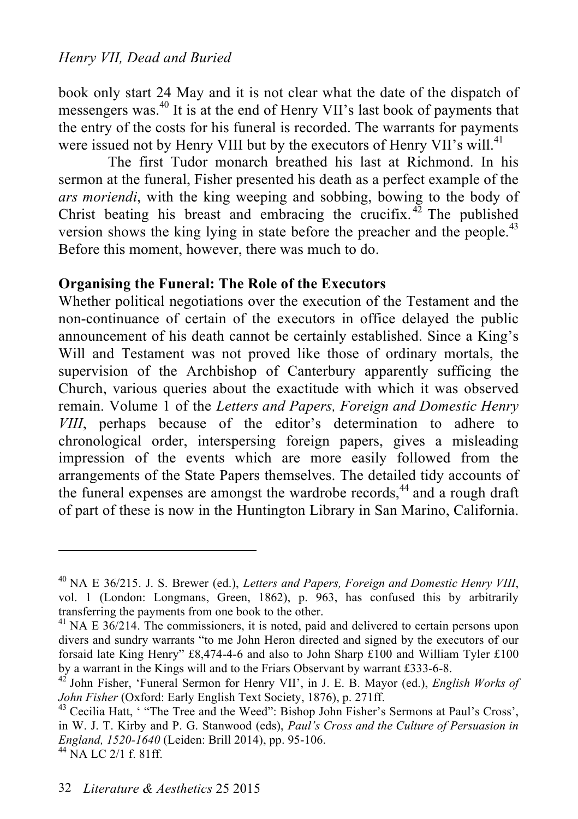book only start 24 May and it is not clear what the date of the dispatch of messengers was. 40 It is at the end of Henry VII's last book of payments that the entry of the costs for his funeral is recorded. The warrants for payments were issued not by Henry VIII but by the executors of Henry VII's will.<sup>41</sup>

The first Tudor monarch breathed his last at Richmond. In his sermon at the funeral, Fisher presented his death as a perfect example of the *ars moriendi*, with the king weeping and sobbing, bowing to the body of Christ beating his breast and embracing the crucifix.<sup>42</sup> The published version shows the king lying in state before the preacher and the people.<sup>43</sup> Before this moment, however, there was much to do.

#### **Organising the Funeral: The Role of the Executors**

Whether political negotiations over the execution of the Testament and the non-continuance of certain of the executors in office delayed the public announcement of his death cannot be certainly established. Since a King's Will and Testament was not proved like those of ordinary mortals, the supervision of the Archbishop of Canterbury apparently sufficing the Church, various queries about the exactitude with which it was observed remain. Volume 1 of the *Letters and Papers, Foreign and Domestic Henry VIII*, perhaps because of the editor's determination to adhere to chronological order, interspersing foreign papers, gives a misleading impression of the events which are more easily followed from the arrangements of the State Papers themselves. The detailed tidy accounts of the funeral expenses are amongst the wardrobe records,<sup>44</sup> and a rough draft of part of these is now in the Huntington Library in San Marino, California.

<sup>40</sup> NA E 36/215. J. S. Brewer (ed.), *Letters and Papers, Foreign and Domestic Henry VIII*, vol. 1 (London: Longmans, Green, 1862), p. 963, has confused this by arbitrarily transferring the payments from one book to the other.

 $41$  NA E  $36/214$ . The commissioners, it is noted, paid and delivered to certain persons upon divers and sundry warrants "to me John Heron directed and signed by the executors of our forsaid late King Henry" £8,474-4-6 and also to John Sharp £100 and William Tyler £100

by a warrant in the Kings will and to the Friars Observant by warrant £333-6-8.<br><sup>42</sup> John Fisher, 'Funeral Sermon for Henry VII', in J. E. B. Mayor (ed.), *English Works of John Fisher* (Oxford: Early English Text Society,

<sup>&</sup>lt;sup>43</sup> Cecilia Hatt, ' "The Tree and the Weed": Bishop John Fisher's Sermons at Paul's Cross', in W. J. T. Kirby and P. G. Stanwood (eds), *Paul's Cross and the Culture of Persuasion in England, 1520-1640* (Leiden: Brill 2014), pp. 95-106. <sup>44</sup> NA LC 2/1 f. 81ff.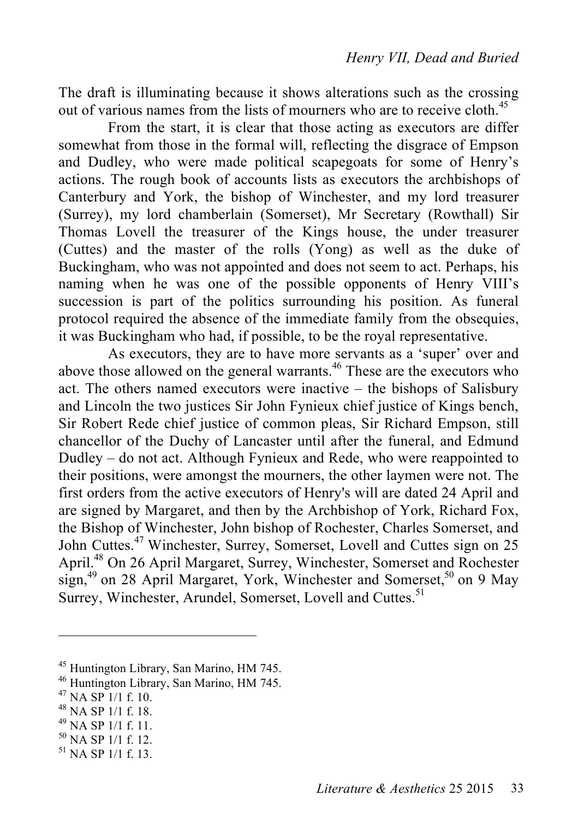The draft is illuminating because it shows alterations such as the crossing out of various names from the lists of mourners who are to receive cloth.<sup>45</sup>

From the start, it is clear that those acting as executors are differ somewhat from those in the formal will, reflecting the disgrace of Empson and Dudley, who were made political scapegoats for some of Henry's actions. The rough book of accounts lists as executors the archbishops of Canterbury and York, the bishop of Winchester, and my lord treasurer (Surrey), my lord chamberlain (Somerset), Mr Secretary (Rowthall) Sir Thomas Lovell the treasurer of the Kings house, the under treasurer (Cuttes) and the master of the rolls (Yong) as well as the duke of Buckingham, who was not appointed and does not seem to act. Perhaps, his naming when he was one of the possible opponents of Henry VIII's succession is part of the politics surrounding his position. As funeral protocol required the absence of the immediate family from the obsequies, it was Buckingham who had, if possible, to be the royal representative.

As executors, they are to have more servants as a 'super' over and above those allowed on the general warrants.<sup>46</sup> These are the executors who act. The others named executors were inactive – the bishops of Salisbury and Lincoln the two justices Sir John Fynieux chief justice of Kings bench, Sir Robert Rede chief justice of common pleas, Sir Richard Empson, still chancellor of the Duchy of Lancaster until after the funeral, and Edmund Dudley – do not act. Although Fynieux and Rede, who were reappointed to their positions, were amongst the mourners, the other laymen were not. The first orders from the active executors of Henry's will are dated 24 April and are signed by Margaret, and then by the Archbishop of York, Richard Fox, the Bishop of Winchester, John bishop of Rochester, Charles Somerset, and John Cuttes.<sup>47</sup> Winchester, Surrey, Somerset, Lovell and Cuttes sign on 25 April. 48 On 26 April Margaret, Surrey, Winchester, Somerset and Rochester sign,<sup>49</sup> on 28 April Margaret, York, Winchester and Somerset,<sup>50</sup> on 9 May Surrey, Winchester, Arundel, Somerset, Lovell and Cuttes.<sup>51</sup>

- 
- 
- 

<sup>&</sup>lt;sup>45</sup> Huntington Library, San Marino, HM 745.<br>
<sup>46</sup> Huntington Library, San Marino, HM 745.<br>
<sup>47</sup> NA SP 1/1 f. 10.<br>
<sup>48</sup> NA SP 1/1 f. 11.<br>
<sup>50</sup> NA SP 1/1 f. 12.<br>
<sup>51</sup> NA SP 1/1 f. 13.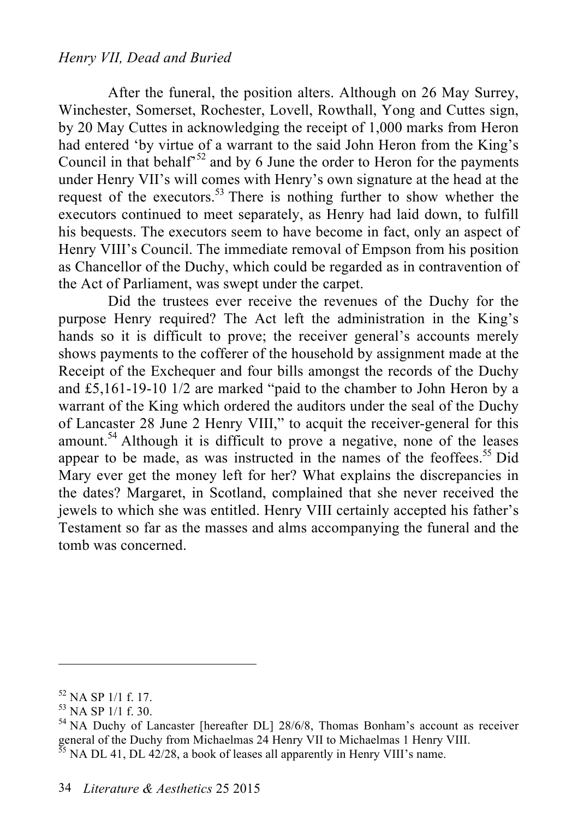#### *Henry VII, Dead and Buried*

After the funeral, the position alters. Although on 26 May Surrey, Winchester, Somerset, Rochester, Lovell, Rowthall, Yong and Cuttes sign, by 20 May Cuttes in acknowledging the receipt of 1,000 marks from Heron had entered 'by virtue of a warrant to the said John Heron from the King's Council in that behalf<sup> $52$ </sup> and by 6 June the order to Heron for the payments under Henry VII's will comes with Henry's own signature at the head at the request of the executors. 53 There is nothing further to show whether the executors continued to meet separately, as Henry had laid down, to fulfill his bequests. The executors seem to have become in fact, only an aspect of Henry VIII's Council. The immediate removal of Empson from his position as Chancellor of the Duchy, which could be regarded as in contravention of the Act of Parliament, was swept under the carpet.

Did the trustees ever receive the revenues of the Duchy for the purpose Henry required? The Act left the administration in the King's hands so it is difficult to prove; the receiver general's accounts merely shows payments to the cofferer of the household by assignment made at the Receipt of the Exchequer and four bills amongst the records of the Duchy and £5,161-19-10 1/2 are marked "paid to the chamber to John Heron by a warrant of the King which ordered the auditors under the seal of the Duchy of Lancaster 28 June 2 Henry VIII," to acquit the receiver-general for this amount.<sup>54</sup> Although it is difficult to prove a negative, none of the leases appear to be made, as was instructed in the names of the feoffees. 55 Did Mary ever get the money left for her? What explains the discrepancies in the dates? Margaret, in Scotland, complained that she never received the jewels to which she was entitled. Henry VIII certainly accepted his father's Testament so far as the masses and alms accompanying the funeral and the tomb was concerned.

<sup>&</sup>lt;sup>52</sup> NA SP 1/1 f. 17.<br><sup>53</sup> NA SP 1/1 f. 30.<br><sup>54</sup> NA Duchy of Lancaster [hereafter DL] 28/6/8, Thomas Bonham's account as receiver general of the Duchy from Michaelmas 24 Henry VII to Michaelmas 1 Henry VIII.<br><sup>55</sup> NA DL 41, DL 42/28, a book of leases all apparently in Henry VIII's name.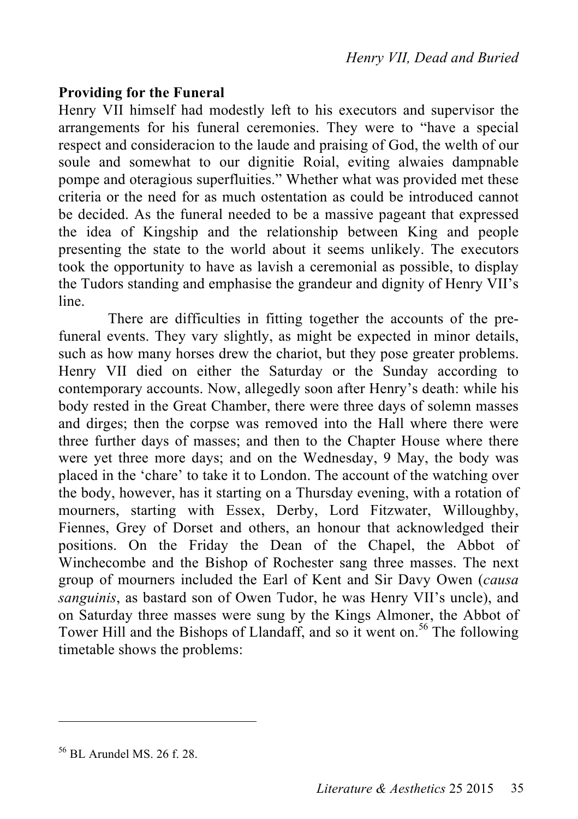#### **Providing for the Funeral**

Henry VII himself had modestly left to his executors and supervisor the arrangements for his funeral ceremonies. They were to "have a special respect and consideracion to the laude and praising of God, the welth of our soule and somewhat to our dignitie Roial, eviting alwaies dampnable pompe and oteragious superfluities." Whether what was provided met these criteria or the need for as much ostentation as could be introduced cannot be decided. As the funeral needed to be a massive pageant that expressed the idea of Kingship and the relationship between King and people presenting the state to the world about it seems unlikely. The executors took the opportunity to have as lavish a ceremonial as possible, to display the Tudors standing and emphasise the grandeur and dignity of Henry VII's line.

There are difficulties in fitting together the accounts of the prefuneral events. They vary slightly, as might be expected in minor details, such as how many horses drew the chariot, but they pose greater problems. Henry VII died on either the Saturday or the Sunday according to contemporary accounts. Now, allegedly soon after Henry's death: while his body rested in the Great Chamber, there were three days of solemn masses and dirges; then the corpse was removed into the Hall where there were three further days of masses; and then to the Chapter House where there were yet three more days; and on the Wednesday, 9 May, the body was placed in the 'chare' to take it to London. The account of the watching over the body, however, has it starting on a Thursday evening, with a rotation of mourners, starting with Essex, Derby, Lord Fitzwater, Willoughby, Fiennes, Grey of Dorset and others, an honour that acknowledged their positions. On the Friday the Dean of the Chapel, the Abbot of Winchecombe and the Bishop of Rochester sang three masses. The next group of mourners included the Earl of Kent and Sir Davy Owen (*causa sanguinis*, as bastard son of Owen Tudor, he was Henry VII's uncle), and on Saturday three masses were sung by the Kings Almoner, the Abbot of Tower Hill and the Bishops of Llandaff, and so it went on. 56 The following timetable shows the problems:

<sup>56</sup> BL Arundel MS. 26 f. 28.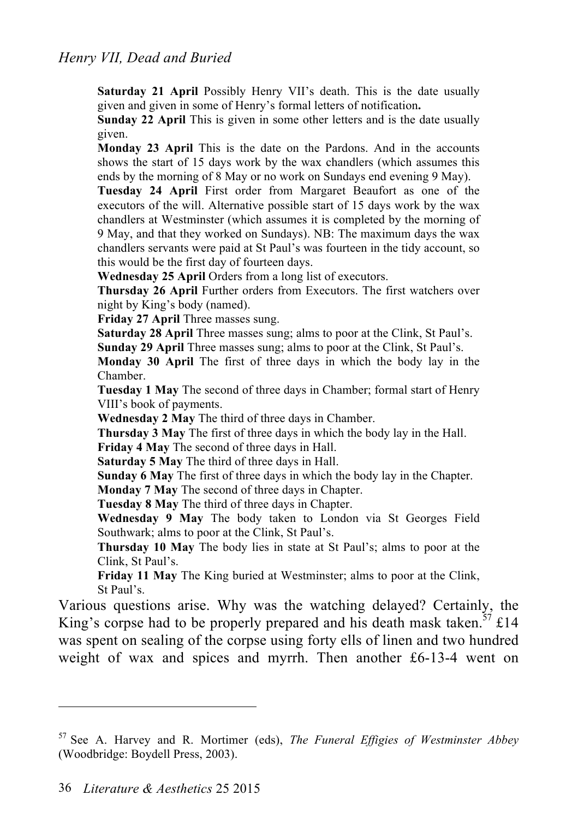**Saturday 21 April Possibly Henry VII's death. This is the date usually** given and given in some of Henry's formal letters of notification**.**

**Sunday 22 April** This is given in some other letters and is the date usually given.

**Monday 23 April** This is the date on the Pardons. And in the accounts shows the start of 15 days work by the wax chandlers (which assumes this ends by the morning of 8 May or no work on Sundays end evening 9 May).

**Tuesday 24 April** First order from Margaret Beaufort as one of the executors of the will. Alternative possible start of 15 days work by the wax chandlers at Westminster (which assumes it is completed by the morning of 9 May, and that they worked on Sundays). NB: The maximum days the wax chandlers servants were paid at St Paul's was fourteen in the tidy account, so this would be the first day of fourteen days.

**Wednesday 25 April** Orders from a long list of executors.

**Thursday 26 April** Further orders from Executors. The first watchers over night by King's body (named).

**Friday 27 April** Three masses sung.

**Saturday 28 April Three masses sung; alms to poor at the Clink, St Paul's.** 

**Sunday 29 April** Three masses sung; alms to poor at the Clink, St Paul's.

**Monday 30 April** The first of three days in which the body lay in the Chamber.

**Tuesday 1 May** The second of three days in Chamber; formal start of Henry VIII's book of payments.

**Wednesday 2 May** The third of three days in Chamber.

**Thursday 3 May** The first of three days in which the body lay in the Hall.

**Friday 4 May** The second of three days in Hall.

**Saturday 5 May** The third of three days in Hall.

**Sunday 6 May** The first of three days in which the body lay in the Chapter. **Monday 7 May** The second of three days in Chapter.

**Tuesday 8 May** The third of three days in Chapter.

**Wednesday 9 May** The body taken to London via St Georges Field Southwark; alms to poor at the Clink, St Paul's.

**Thursday 10 May** The body lies in state at St Paul's; alms to poor at the Clink, St Paul's.

**Friday 11 May** The King buried at Westminster; alms to poor at the Clink, St Paul's.

Various questions arise. Why was the watching delayed? Certainly, the King's corpse had to be properly prepared and his death mask taken.<sup>57</sup> £14 was spent on sealing of the corpse using forty ells of linen and two hundred weight of wax and spices and myrrh. Then another £6-13-4 went on

<sup>57</sup> See A. Harvey and R. Mortimer (eds), *The Funeral Effigies of Westminster Abbey* (Woodbridge: Boydell Press, 2003).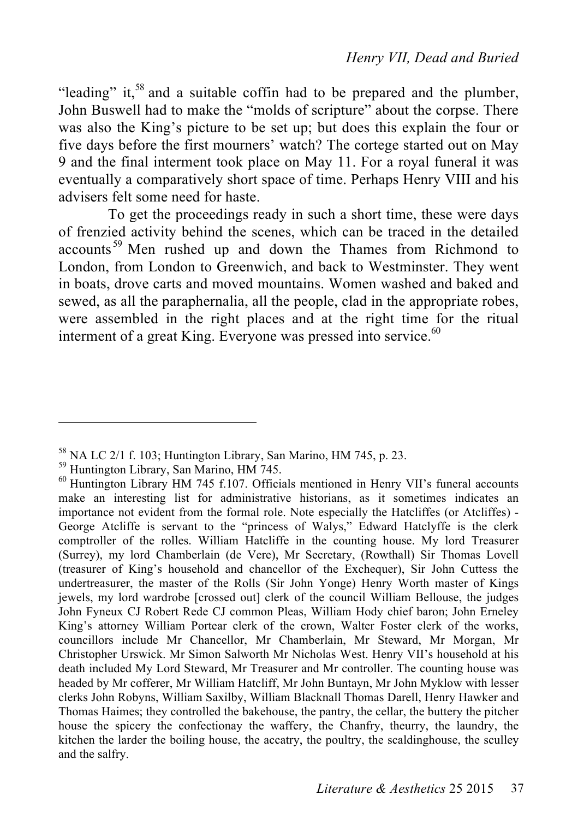"leading" it,<sup>58</sup> and a suitable coffin had to be prepared and the plumber, John Buswell had to make the "molds of scripture" about the corpse. There was also the King's picture to be set up; but does this explain the four or five days before the first mourners' watch? The cortege started out on May 9 and the final interment took place on May 11. For a royal funeral it was eventually a comparatively short space of time. Perhaps Henry VIII and his advisers felt some need for haste.

To get the proceedings ready in such a short time, these were days of frenzied activity behind the scenes, which can be traced in the detailed accounts<sup>59</sup> Men rushed up and down the Thames from Richmond to London, from London to Greenwich, and back to Westminster. They went in boats, drove carts and moved mountains. Women washed and baked and sewed, as all the paraphernalia, all the people, clad in the appropriate robes, were assembled in the right places and at the right time for the ritual interment of a great King. Everyone was pressed into service.<sup>60</sup>

<sup>&</sup>lt;sup>58</sup> NA LC 2/1 f. 103; Huntington Library, San Marino, HM 745, p. 23.<br><sup>59</sup> Huntington Library, San Marino, HM 745.<br><sup>60</sup> Huntington Library HM 745 f.107. Officials mentioned in Henry VII's funeral accounts make an interesting list for administrative historians, as it sometimes indicates an importance not evident from the formal role. Note especially the Hatcliffes (or Atcliffes) - George Atcliffe is servant to the "princess of Walys," Edward Hatclyffe is the clerk comptroller of the rolles. William Hatcliffe in the counting house. My lord Treasurer (Surrey), my lord Chamberlain (de Vere), Mr Secretary, (Rowthall) Sir Thomas Lovell (treasurer of King's household and chancellor of the Exchequer), Sir John Cuttess the undertreasurer, the master of the Rolls (Sir John Yonge) Henry Worth master of Kings jewels, my lord wardrobe [crossed out] clerk of the council William Bellouse, the judges John Fyneux CJ Robert Rede CJ common Pleas, William Hody chief baron; John Erneley King's attorney William Portear clerk of the crown, Walter Foster clerk of the works, councillors include Mr Chancellor, Mr Chamberlain, Mr Steward, Mr Morgan, Mr Christopher Urswick. Mr Simon Salworth Mr Nicholas West. Henry VII's household at his death included My Lord Steward, Mr Treasurer and Mr controller. The counting house was headed by Mr cofferer, Mr William Hatcliff, Mr John Buntayn, Mr John Myklow with lesser clerks John Robyns, William Saxilby, William Blacknall Thomas Darell, Henry Hawker and Thomas Haimes; they controlled the bakehouse, the pantry, the cellar, the buttery the pitcher house the spicery the confectionay the waffery, the Chanfry, theurry, the laundry, the kitchen the larder the boiling house, the accatry, the poultry, the scaldinghouse, the sculley and the salfry.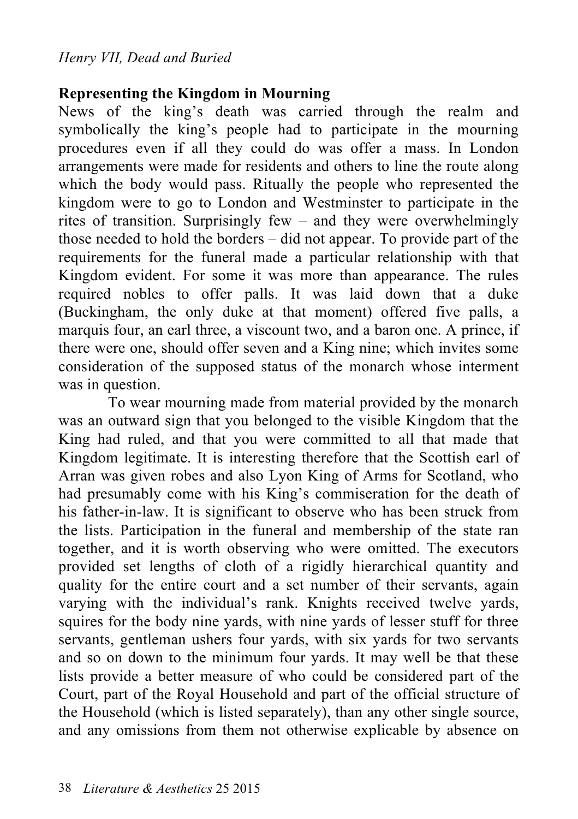# **Representing the Kingdom in Mourning**

News of the king's death was carried through the realm and symbolically the king's people had to participate in the mourning procedures even if all they could do was offer a mass. In London arrangements were made for residents and others to line the route along which the body would pass. Ritually the people who represented the kingdom were to go to London and Westminster to participate in the rites of transition. Surprisingly few – and they were overwhelmingly those needed to hold the borders – did not appear. To provide part of the requirements for the funeral made a particular relationship with that Kingdom evident. For some it was more than appearance. The rules required nobles to offer palls. It was laid down that a duke (Buckingham, the only duke at that moment) offered five palls, a marquis four, an earl three, a viscount two, and a baron one. A prince, if there were one, should offer seven and a King nine; which invites some consideration of the supposed status of the monarch whose interment was in question.

To wear mourning made from material provided by the monarch was an outward sign that you belonged to the visible Kingdom that the King had ruled, and that you were committed to all that made that Kingdom legitimate. It is interesting therefore that the Scottish earl of Arran was given robes and also Lyon King of Arms for Scotland, who had presumably come with his King's commiseration for the death of his father-in-law. It is significant to observe who has been struck from the lists. Participation in the funeral and membership of the state ran together, and it is worth observing who were omitted. The executors provided set lengths of cloth of a rigidly hierarchical quantity and quality for the entire court and a set number of their servants, again varying with the individual's rank. Knights received twelve yards, squires for the body nine yards, with nine yards of lesser stuff for three servants, gentleman ushers four yards, with six yards for two servants and so on down to the minimum four yards. It may well be that these lists provide a better measure of who could be considered part of the Court, part of the Royal Household and part of the official structure of the Household (which is listed separately), than any other single source, and any omissions from them not otherwise explicable by absence on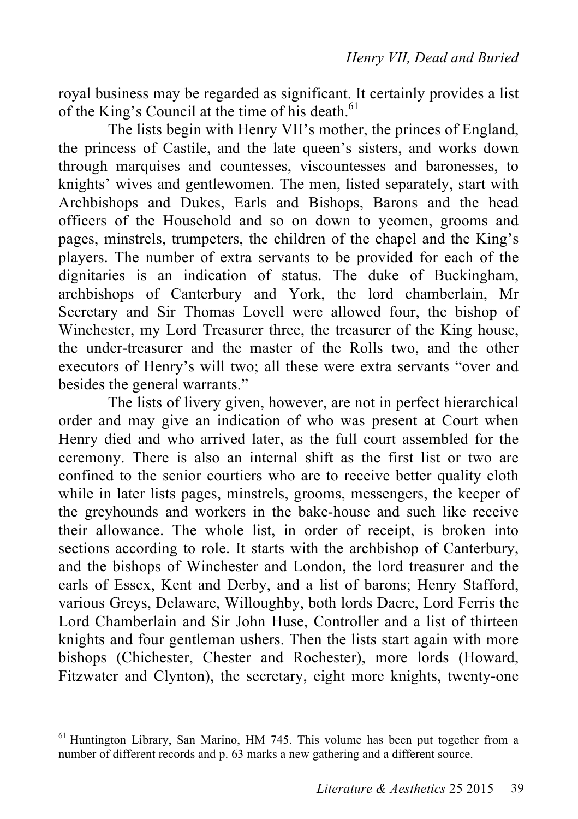royal business may be regarded as significant. It certainly provides a list of the King's Council at the time of his death.<sup>61</sup>

The lists begin with Henry VII's mother, the princes of England, the princess of Castile, and the late queen's sisters, and works down through marquises and countesses, viscountesses and baronesses, to knights' wives and gentlewomen. The men, listed separately, start with Archbishops and Dukes, Earls and Bishops, Barons and the head officers of the Household and so on down to yeomen, grooms and pages, minstrels, trumpeters, the children of the chapel and the King's players. The number of extra servants to be provided for each of the dignitaries is an indication of status. The duke of Buckingham, archbishops of Canterbury and York, the lord chamberlain, Mr Secretary and Sir Thomas Lovell were allowed four, the bishop of Winchester, my Lord Treasurer three, the treasurer of the King house, the under-treasurer and the master of the Rolls two, and the other executors of Henry's will two; all these were extra servants "over and besides the general warrants."

The lists of livery given, however, are not in perfect hierarchical order and may give an indication of who was present at Court when Henry died and who arrived later, as the full court assembled for the ceremony. There is also an internal shift as the first list or two are confined to the senior courtiers who are to receive better quality cloth while in later lists pages, minstrels, grooms, messengers, the keeper of the greyhounds and workers in the bake-house and such like receive their allowance. The whole list, in order of receipt, is broken into sections according to role. It starts with the archbishop of Canterbury, and the bishops of Winchester and London, the lord treasurer and the earls of Essex, Kent and Derby, and a list of barons; Henry Stafford, various Greys, Delaware, Willoughby, both lords Dacre, Lord Ferris the Lord Chamberlain and Sir John Huse, Controller and a list of thirteen knights and four gentleman ushers. Then the lists start again with more bishops (Chichester, Chester and Rochester), more lords (Howard, Fitzwater and Clynton), the secretary, eight more knights, twenty-one

<sup>&</sup>lt;sup>61</sup> Huntington Library, San Marino, HM 745. This volume has been put together from a number of different records and p. 63 marks a new gathering and a different source.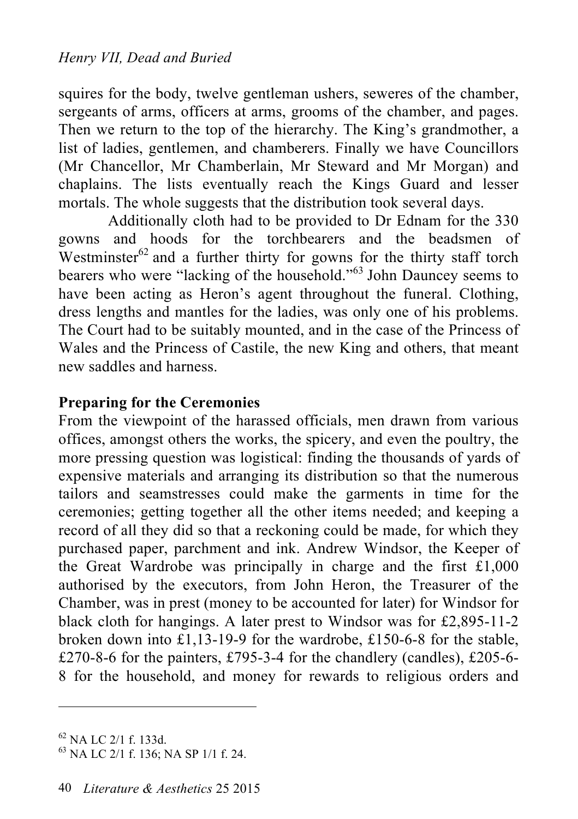squires for the body, twelve gentleman ushers, seweres of the chamber, sergeants of arms, officers at arms, grooms of the chamber, and pages. Then we return to the top of the hierarchy. The King's grandmother, a list of ladies, gentlemen, and chamberers. Finally we have Councillors (Mr Chancellor, Mr Chamberlain, Mr Steward and Mr Morgan) and chaplains. The lists eventually reach the Kings Guard and lesser mortals. The whole suggests that the distribution took several days.

Additionally cloth had to be provided to Dr Ednam for the 330 gowns and hoods for the torchbearers and the beadsmen of Westminster<sup>62</sup> and a further thirty for gowns for the thirty staff torch bearers who were "lacking of the household."63 John Dauncey seems to have been acting as Heron's agent throughout the funeral. Clothing, dress lengths and mantles for the ladies, was only one of his problems. The Court had to be suitably mounted, and in the case of the Princess of Wales and the Princess of Castile, the new King and others, that meant new saddles and harness.

# **Preparing for the Ceremonies**

From the viewpoint of the harassed officials, men drawn from various offices, amongst others the works, the spicery, and even the poultry, the more pressing question was logistical: finding the thousands of yards of expensive materials and arranging its distribution so that the numerous tailors and seamstresses could make the garments in time for the ceremonies; getting together all the other items needed; and keeping a record of all they did so that a reckoning could be made, for which they purchased paper, parchment and ink. Andrew Windsor, the Keeper of the Great Wardrobe was principally in charge and the first £1,000 authorised by the executors, from John Heron, the Treasurer of the Chamber, was in prest (money to be accounted for later) for Windsor for black cloth for hangings. A later prest to Windsor was for £2,895-11-2 broken down into £1,13-19-9 for the wardrobe, £150-6-8 for the stable, £270-8-6 for the painters, £795-3-4 for the chandlery (candles), £205-6-8 for the household, and money for rewards to religious orders and

 $^{62}$  NA LC 2/1 f. 133d.<br> $^{63}$  NA LC 2/1 f. 136; NA SP 1/1 f. 24.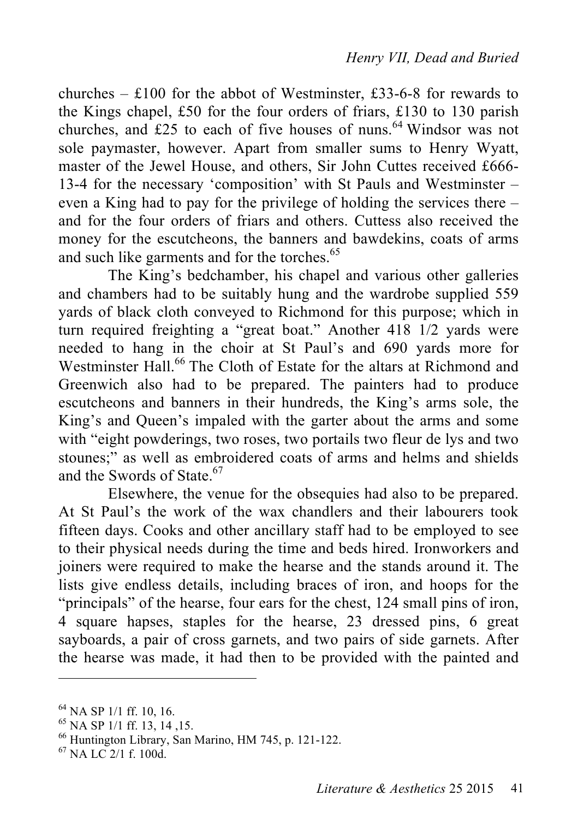churches –  $\text{\pounds}100$  for the abbot of Westminster, £33-6-8 for rewards to the Kings chapel, £50 for the four orders of friars, £130 to 130 parish churches, and £25 to each of five houses of nuns. 64 Windsor was not sole paymaster, however. Apart from smaller sums to Henry Wyatt, master of the Jewel House, and others, Sir John Cuttes received £666- 13-4 for the necessary 'composition' with St Pauls and Westminster – even a King had to pay for the privilege of holding the services there – and for the four orders of friars and others. Cuttess also received the money for the escutcheons, the banners and bawdekins, coats of arms and such like garments and for the torches. 65

The King's bedchamber, his chapel and various other galleries and chambers had to be suitably hung and the wardrobe supplied 559 yards of black cloth conveyed to Richmond for this purpose; which in turn required freighting a "great boat." Another 418 1/2 yards were needed to hang in the choir at St Paul's and 690 yards more for Westminster Hall. 66 The Cloth of Estate for the altars at Richmond and Greenwich also had to be prepared. The painters had to produce escutcheons and banners in their hundreds, the King's arms sole, the King's and Queen's impaled with the garter about the arms and some with "eight powderings, two roses, two portails two fleur de lys and two stounes;" as well as embroidered coats of arms and helms and shields and the Swords of State. 67

Elsewhere, the venue for the obsequies had also to be prepared. At St Paul's the work of the wax chandlers and their labourers took fifteen days. Cooks and other ancillary staff had to be employed to see to their physical needs during the time and beds hired. Ironworkers and joiners were required to make the hearse and the stands around it. The lists give endless details, including braces of iron, and hoops for the "principals" of the hearse, four ears for the chest, 124 small pins of iron, 4 square hapses, staples for the hearse, 23 dressed pins, 6 great sayboards, a pair of cross garnets, and two pairs of side garnets. After the hearse was made, it had then to be provided with the painted and

<sup>&</sup>lt;sup>64</sup> NA SP 1/1 ff. 10, 16.<br><sup>65</sup> NA SP 1/1 ff. 13, 14, 15.<br><sup>66</sup> Huntington Library, San Marino, HM 745, p. 121-122.<br><sup>67</sup> NA LC 2/1 f. 100d.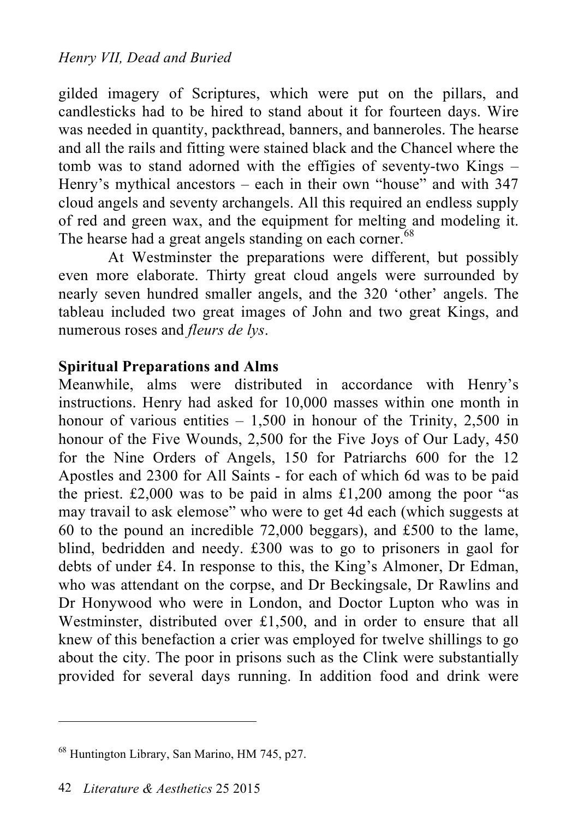gilded imagery of Scriptures, which were put on the pillars, and candlesticks had to be hired to stand about it for fourteen days. Wire was needed in quantity, packthread, banners, and banneroles. The hearse and all the rails and fitting were stained black and the Chancel where the tomb was to stand adorned with the effigies of seventy-two Kings – Henry's mythical ancestors – each in their own "house" and with 347 cloud angels and seventy archangels. All this required an endless supply of red and green wax, and the equipment for melting and modeling it. The hearse had a great angels standing on each corner.<sup>68</sup>

At Westminster the preparations were different, but possibly even more elaborate. Thirty great cloud angels were surrounded by nearly seven hundred smaller angels, and the 320 'other' angels. The tableau included two great images of John and two great Kings, and numerous roses and *fleurs de lys*.

# **Spiritual Preparations and Alms**

Meanwhile, alms were distributed in accordance with Henry's instructions. Henry had asked for 10,000 masses within one month in honour of various entities  $-1,500$  in honour of the Trinity, 2,500 in honour of the Five Wounds, 2,500 for the Five Joys of Our Lady, 450 for the Nine Orders of Angels, 150 for Patriarchs 600 for the 12 Apostles and 2300 for All Saints - for each of which 6d was to be paid the priest.  $£2,000$  was to be paid in alms  $£1,200$  among the poor "as may travail to ask elemose" who were to get 4d each (which suggests at 60 to the pound an incredible 72,000 beggars), and £500 to the lame, blind, bedridden and needy. £300 was to go to prisoners in gaol for debts of under £4. In response to this, the King's Almoner, Dr Edman, who was attendant on the corpse, and Dr Beckingsale, Dr Rawlins and Dr Honywood who were in London, and Doctor Lupton who was in Westminster, distributed over £1,500, and in order to ensure that all knew of this benefaction a crier was employed for twelve shillings to go about the city. The poor in prisons such as the Clink were substantially provided for several days running. In addition food and drink were

<sup>68</sup> Huntington Library, San Marino, HM 745, p27.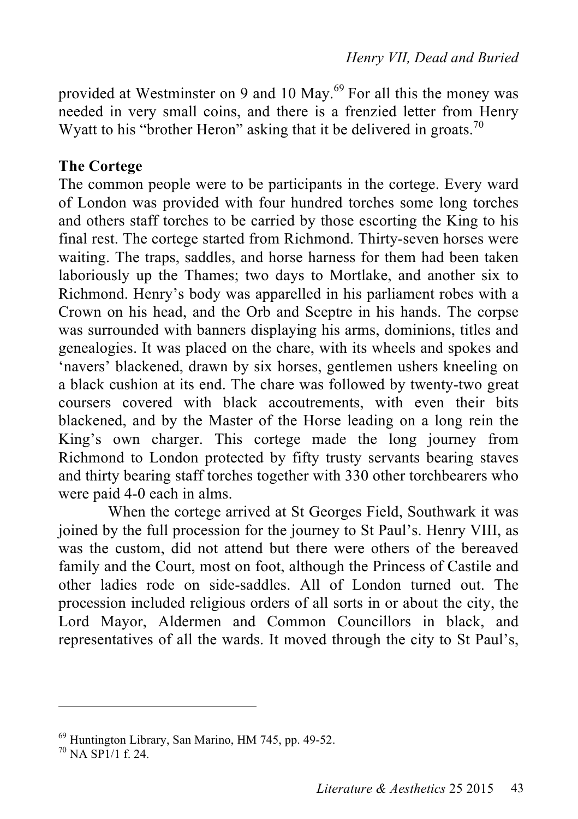provided at Westminster on 9 and 10 May.<sup>69</sup> For all this the money was needed in very small coins, and there is a frenzied letter from Henry Wyatt to his "brother Heron" asking that it be delivered in groats.<sup>70</sup>

# **The Cortege**

The common people were to be participants in the cortege. Every ward of London was provided with four hundred torches some long torches and others staff torches to be carried by those escorting the King to his final rest. The cortege started from Richmond. Thirty-seven horses were waiting. The traps, saddles, and horse harness for them had been taken laboriously up the Thames; two days to Mortlake, and another six to Richmond. Henry's body was apparelled in his parliament robes with a Crown on his head, and the Orb and Sceptre in his hands. The corpse was surrounded with banners displaying his arms, dominions, titles and genealogies. It was placed on the chare, with its wheels and spokes and 'navers' blackened, drawn by six horses, gentlemen ushers kneeling on a black cushion at its end. The chare was followed by twenty-two great coursers covered with black accoutrements, with even their bits blackened, and by the Master of the Horse leading on a long rein the King's own charger. This cortege made the long journey from Richmond to London protected by fifty trusty servants bearing staves and thirty bearing staff torches together with 330 other torchbearers who were paid 4-0 each in alms.

When the cortege arrived at St Georges Field, Southwark it was joined by the full procession for the journey to St Paul's. Henry VIII, as was the custom, did not attend but there were others of the bereaved family and the Court, most on foot, although the Princess of Castile and other ladies rode on side-saddles. All of London turned out. The procession included religious orders of all sorts in or about the city, the Lord Mayor, Aldermen and Common Councillors in black, and representatives of all the wards. It moved through the city to St Paul's,

<sup>&</sup>lt;sup>69</sup> Huntington Library, San Marino, HM 745, pp. 49-52.<br><sup>70</sup> NA SP1/1 f. 24.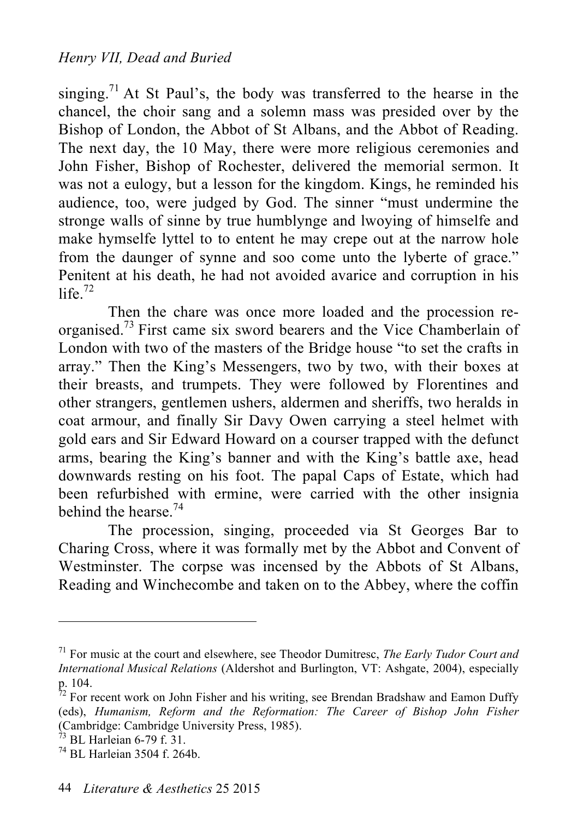singing.<sup>71</sup> At St Paul's, the body was transferred to the hearse in the chancel, the choir sang and a solemn mass was presided over by the Bishop of London, the Abbot of St Albans, and the Abbot of Reading. The next day, the 10 May, there were more religious ceremonies and John Fisher, Bishop of Rochester, delivered the memorial sermon. It was not a eulogy, but a lesson for the kingdom. Kings, he reminded his audience, too, were judged by God. The sinner "must undermine the stronge walls of sinne by true humblynge and lwoying of himselfe and make hymselfe lyttel to to entent he may crepe out at the narrow hole from the daunger of synne and soo come unto the lyberte of grace." Penitent at his death, he had not avoided avarice and corruption in his life. $72$ 

Then the chare was once more loaded and the procession reorganised. 73 First came six sword bearers and the Vice Chamberlain of London with two of the masters of the Bridge house "to set the crafts in array." Then the King's Messengers, two by two, with their boxes at their breasts, and trumpets. They were followed by Florentines and other strangers, gentlemen ushers, aldermen and sheriffs, two heralds in coat armour, and finally Sir Davy Owen carrying a steel helmet with gold ears and Sir Edward Howard on a courser trapped with the defunct arms, bearing the King's banner and with the King's battle axe, head downwards resting on his foot. The papal Caps of Estate, which had been refurbished with ermine, were carried with the other insignia behind the hearse.<sup>74</sup>

The procession, singing, proceeded via St Georges Bar to Charing Cross, where it was formally met by the Abbot and Convent of Westminster. The corpse was incensed by the Abbots of St Albans, Reading and Winchecombe and taken on to the Abbey, where the coffin

<sup>71</sup> For music at the court and elsewhere, see Theodor Dumitresc, *The Early Tudor Court and International Musical Relations* (Aldershot and Burlington, VT: Ashgate, 2004), especially p. 104.<br><sup>72</sup> For recent work on John Fisher and his writing, see Brendan Bradshaw and Eamon Duffy

<sup>(</sup>eds), *Humanism, Reform and the Reformation: The Career of Bishop John Fisher* (Cambridge: Cambridge University Press, 1985).<br><sup>73</sup> BL Harleian 6-79 f. 31.<br><sup>74</sup> BL Harleian 3504 f. 264b.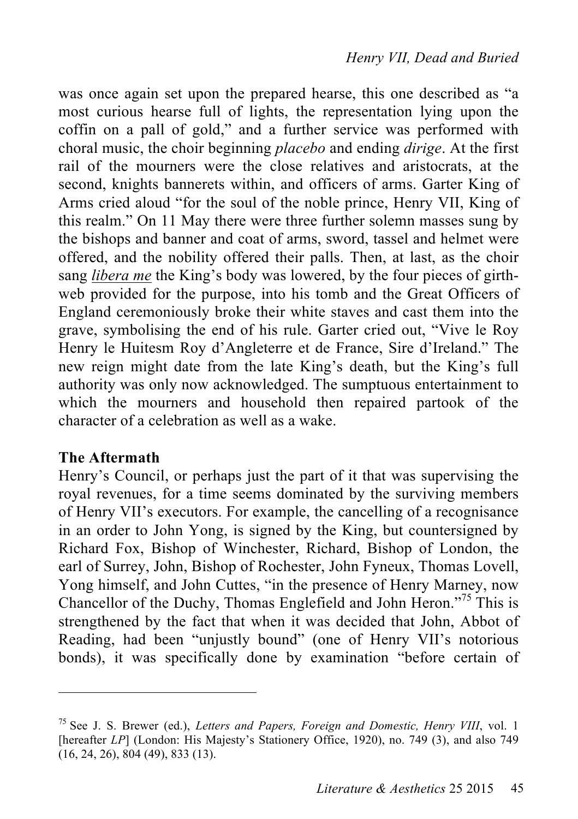was once again set upon the prepared hearse, this one described as "a most curious hearse full of lights, the representation lying upon the coffin on a pall of gold," and a further service was performed with choral music, the choir beginning *placebo* and ending *dirige*. At the first rail of the mourners were the close relatives and aristocrats, at the second, knights bannerets within, and officers of arms. Garter King of Arms cried aloud "for the soul of the noble prince, Henry VII, King of this realm." On 11 May there were three further solemn masses sung by the bishops and banner and coat of arms, sword, tassel and helmet were offered, and the nobility offered their palls. Then, at last, as the choir sang *libera me* the King's body was lowered, by the four pieces of girthweb provided for the purpose, into his tomb and the Great Officers of England ceremoniously broke their white staves and cast them into the grave, symbolising the end of his rule. Garter cried out, "Vive le Roy Henry le Huitesm Roy d'Angleterre et de France, Sire d'Ireland." The new reign might date from the late King's death, but the King's full authority was only now acknowledged. The sumptuous entertainment to which the mourners and household then repaired partook of the character of a celebration as well as a wake.

#### **The Aftermath**

 $\overline{a}$ 

Henry's Council, or perhaps just the part of it that was supervising the royal revenues, for a time seems dominated by the surviving members of Henry VII's executors. For example, the cancelling of a recognisance in an order to John Yong, is signed by the King, but countersigned by Richard Fox, Bishop of Winchester, Richard, Bishop of London, the earl of Surrey, John, Bishop of Rochester, John Fyneux, Thomas Lovell, Yong himself, and John Cuttes, "in the presence of Henry Marney, now Chancellor of the Duchy, Thomas Englefield and John Heron."75 This is strengthened by the fact that when it was decided that John, Abbot of Reading, had been "unjustly bound" (one of Henry VII's notorious bonds), it was specifically done by examination "before certain of

<sup>75</sup> See J. S. Brewer (ed.), *Letters and Papers, Foreign and Domestic, Henry VIII*, vol. 1 [hereafter *LP*] (London: His Majesty's Stationery Office, 1920), no. 749 (3), and also 749 (16, 24, 26), 804 (49), 833 (13).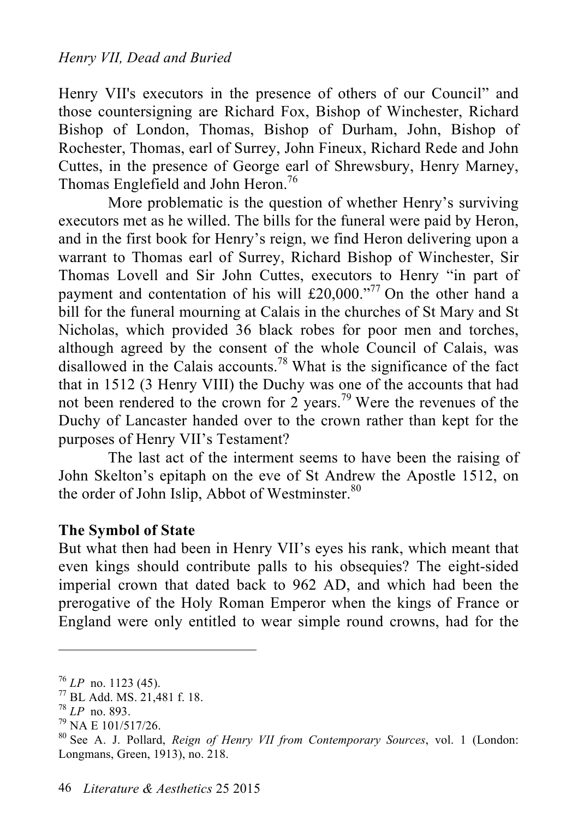Henry VII's executors in the presence of others of our Council" and those countersigning are Richard Fox, Bishop of Winchester, Richard Bishop of London, Thomas, Bishop of Durham, John, Bishop of Rochester, Thomas, earl of Surrey, John Fineux, Richard Rede and John Cuttes, in the presence of George earl of Shrewsbury, Henry Marney, Thomas Englefield and John Heron.<sup>76</sup>

More problematic is the question of whether Henry's surviving executors met as he willed. The bills for the funeral were paid by Heron, and in the first book for Henry's reign, we find Heron delivering upon a warrant to Thomas earl of Surrey, Richard Bishop of Winchester, Sir Thomas Lovell and Sir John Cuttes, executors to Henry "in part of payment and contentation of his will £20,000."<sup>77</sup> On the other hand a bill for the funeral mourning at Calais in the churches of St Mary and St Nicholas, which provided 36 black robes for poor men and torches, although agreed by the consent of the whole Council of Calais, was disallowed in the Calais accounts.<sup>78</sup> What is the significance of the fact that in 1512 (3 Henry VIII) the Duchy was one of the accounts that had not been rendered to the crown for 2 years.<sup>79</sup> Were the revenues of the Duchy of Lancaster handed over to the crown rather than kept for the purposes of Henry VII's Testament?

The last act of the interment seems to have been the raising of John Skelton's epitaph on the eve of St Andrew the Apostle 1512, on the order of John Islip, Abbot of Westminster.<sup>80</sup>

#### **The Symbol of State**

But what then had been in Henry VII's eyes his rank, which meant that even kings should contribute palls to his obsequies? The eight-sided imperial crown that dated back to 962 AD, and which had been the prerogative of the Holy Roman Emperor when the kings of France or England were only entitled to wear simple round crowns, had for the

<sup>&</sup>lt;sup>76</sup> *LP* no. 1123 (45).<br>
<sup>77</sup> BL Add. MS. 21,481 f. 18.<br>
<sup>78</sup> *LP* no. 893.<br>
<sup>79</sup> NA E 101/517/26.<br>
<sup>80</sup> See A. J. Pollard, *Reign of Henry VII from Contemporary Sources*, vol. 1 (London: Longmans, Green, 1913), no. 218.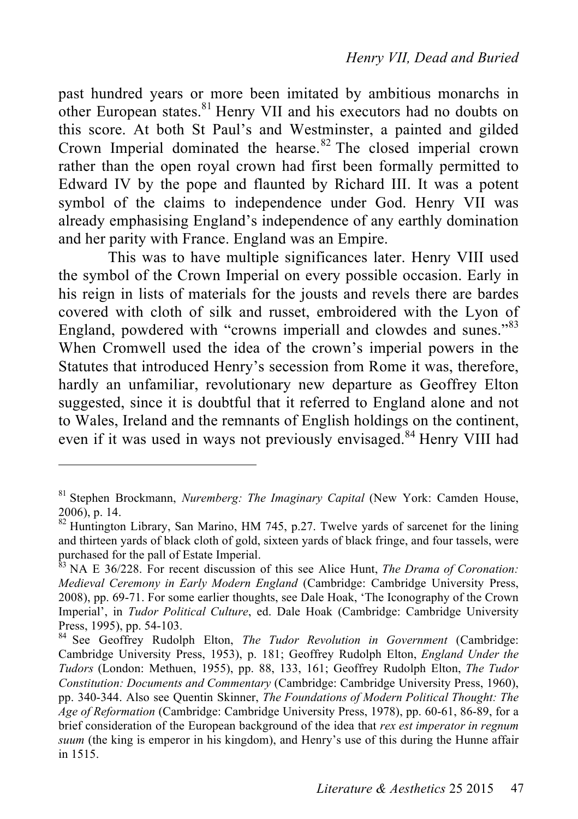past hundred years or more been imitated by ambitious monarchs in other European states.<sup>81</sup> Henry VII and his executors had no doubts on this score. At both St Paul's and Westminster, a painted and gilded Crown Imperial dominated the hearse. 82 The closed imperial crown rather than the open royal crown had first been formally permitted to Edward IV by the pope and flaunted by Richard III. It was a potent symbol of the claims to independence under God. Henry VII was already emphasising England's independence of any earthly domination and her parity with France. England was an Empire.

This was to have multiple significances later. Henry VIII used the symbol of the Crown Imperial on every possible occasion. Early in his reign in lists of materials for the jousts and revels there are bardes covered with cloth of silk and russet, embroidered with the Lyon of England, powdered with "crowns imperiall and clowdes and sunes."<sup>83</sup> When Cromwell used the idea of the crown's imperial powers in the Statutes that introduced Henry's secession from Rome it was, therefore, hardly an unfamiliar, revolutionary new departure as Geoffrey Elton suggested, since it is doubtful that it referred to England alone and not to Wales, Ireland and the remnants of English holdings on the continent, even if it was used in ways not previously envisaged.<sup>84</sup> Henry VIII had

<sup>81</sup> Stephen Brockmann, *Nuremberg: The Imaginary Capital* (New York: Camden House,  $2006$ ), p. 14.  $82$  Huntington Library, San Marino, HM 745, p.27. Twelve yards of sarcenet for the lining

and thirteen yards of black cloth of gold, sixteen yards of black fringe, and four tassels, were purchased for the pall of Estate Imperial.<br><sup>83</sup> NA E 36/228. For recent discussion of this see Alice Hunt, *The Drama of Coronation*:

*Medieval Ceremony in Early Modern England* (Cambridge: Cambridge University Press, 2008), pp. 69-71. For some earlier thoughts, see Dale Hoak, 'The Iconography of the Crown Imperial', in *Tudor Political Culture*, ed. Dale Hoak (Cambridge: Cambridge University Press, 1995), pp. 54-103.<br><sup>84</sup> See Geoffrey Rudolph Elton, *The Tudor Revolution in Government* (Cambridge:

Cambridge University Press, 1953), p. 181; Geoffrey Rudolph Elton, *England Under the Tudors* (London: Methuen, 1955), pp. 88, 133, 161; Geoffrey Rudolph Elton, *The Tudor Constitution: Documents and Commentary* (Cambridge: Cambridge University Press, 1960), pp. 340-344. Also see Quentin Skinner, *The Foundations of Modern Political Thought: The Age of Reformation* (Cambridge: Cambridge University Press, 1978), pp. 60-61, 86-89, for a brief consideration of the European background of the idea that *rex est imperator in regnum suum* (the king is emperor in his kingdom), and Henry's use of this during the Hunne affair in 1515.